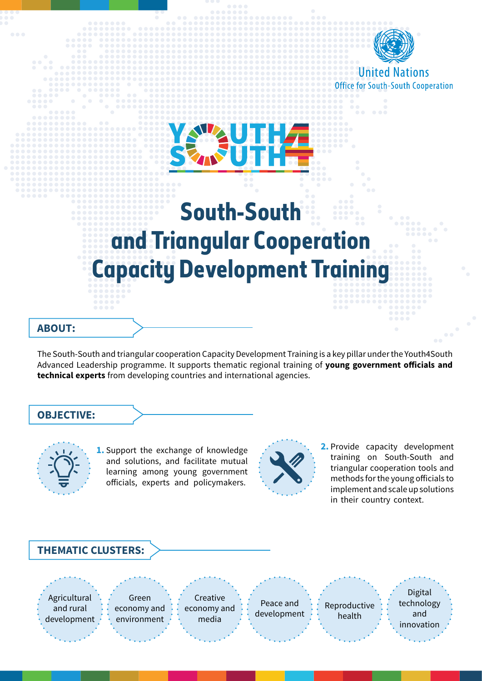

**United Nations Office for South-South Cooperation** 

## **South-South and Triangular Cooperation Capacity Development Training**

**AUTHZ** 

## **:ABOUT**

The South-South and triangular cooperation Capacity Development Training is a key pillar under the Youth4South Advanced Leadership programme. It supports thematic regional training of young government officials and technical experts from developing countries and international agencies.

## **:OBJECTIVE**



1. Support the exchange of knowledge and solutions, and facilitate mutual learning among young government officials, experts and policymakers.



**2.** Provide capacity development training on South-South and triangular cooperation tools and methods for the young officials to implement and scale up solutions in their country context.